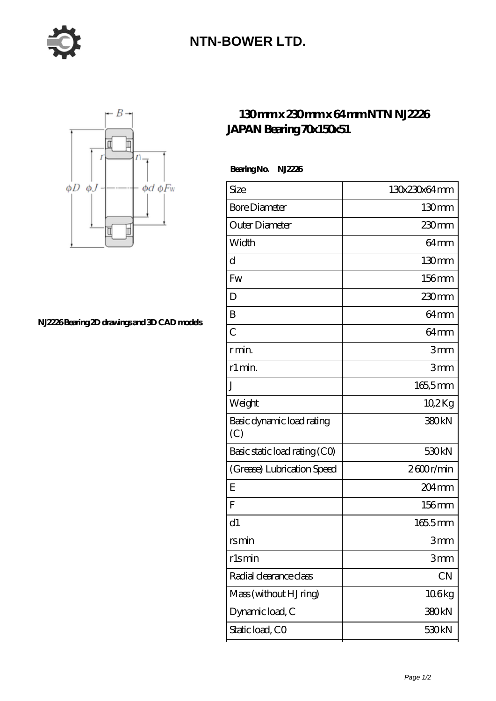

## **[NTN-BOWER LTD.](https://moreymansion.com)**



**[NJ2226 Bearing 2D drawings and 3D CAD models](https://moreymansion.com/pic-306401.html)**

## **[130 mm x 230 mm x 64 mm NTN NJ2226](https://moreymansion.com/bj-306401-ntn-nj2226-japan-bearing-70x150x51.html) [JAPAN Bearing 70x150x51](https://moreymansion.com/bj-306401-ntn-nj2226-japan-bearing-70x150x51.html)**

 **Bearing No. NJ2226**

| Size                             | 130x230x64mm        |
|----------------------------------|---------------------|
| <b>Bore Diameter</b>             | 130 <sub>mm</sub>   |
| Outer Diameter                   | $230$ mm            |
| Width                            | 64 <sub>mm</sub>    |
| d                                | 130mm               |
| Fw                               | 156mm               |
| D                                | 230mm               |
| B                                | 64 <sub>mm</sub>    |
| $\overline{C}$                   | 64 <sub>mm</sub>    |
| r min.                           | 3mm                 |
| r1 min.                          | 3mm                 |
| J                                | $165,5$ mm          |
| Weight                           | 10,2Kg              |
| Basic dynamic load rating<br>(C) | 380 <sub>kN</sub>   |
| Basic static load rating (CO)    | 530 <sub>kN</sub>   |
| (Grease) Lubrication Speed       | 2600r/min           |
| E                                | $204 \,\mathrm{mm}$ |
| F                                | 156mm               |
| d1                               | 1655mm              |
| rsmin                            | 3 <sub>mm</sub>     |
| rlsmin                           | 3mm                 |
| Radial clearance class           | CN                  |
| Mass (without HJ ring)           | 106kg               |
| Dynamic load, C                  | 380kN               |
| Static load, CO                  | 530 <sub>kN</sub>   |
|                                  |                     |